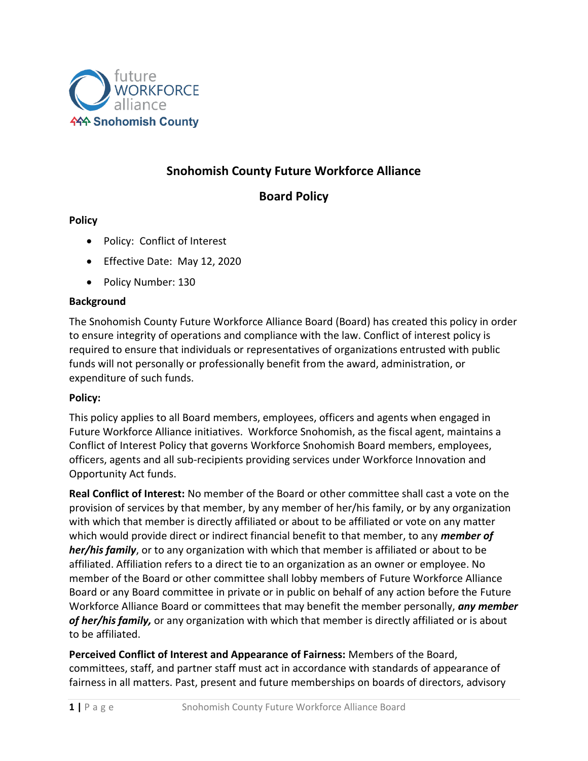

# **Snohomish County Future Workforce Alliance**

## **Board Policy**

## **Policy**

- Policy: Conflict of Interest
- Effective Date: May 12, 2020
- Policy Number: 130

#### **Background**

The Snohomish County Future Workforce Alliance Board (Board) has created this policy in order to ensure integrity of operations and compliance with the law. Conflict of interest policy is required to ensure that individuals or representatives of organizations entrusted with public funds will not personally or professionally benefit from the award, administration, or expenditure of such funds.

#### **Policy:**

This policy applies to all Board members, employees, officers and agents when engaged in Future Workforce Alliance initiatives. Workforce Snohomish, as the fiscal agent, maintains a Conflict of Interest Policy that governs Workforce Snohomish Board members, employees, officers, agents and all sub-recipients providing services under Workforce Innovation and Opportunity Act funds.

**Real Conflict of Interest:** No member of the Board or other committee shall cast a vote on the provision of services by that member, by any member of her/his family, or by any organization with which that member is directly affiliated or about to be affiliated or vote on any matter which would provide direct or indirect financial benefit to that member, to any *member of her/his family*, or to any organization with which that member is affiliated or about to be affiliated. Affiliation refers to a direct tie to an organization as an owner or employee. No member of the Board or other committee shall lobby members of Future Workforce Alliance Board or any Board committee in private or in public on behalf of any action before the Future Workforce Alliance Board or committees that may benefit the member personally, *any member of her/his family,* or any organization with which that member is directly affiliated or is about to be affiliated.

**Perceived Conflict of Interest and Appearance of Fairness:** Members of the Board, committees, staff, and partner staff must act in accordance with standards of appearance of fairness in all matters. Past, present and future memberships on boards of directors, advisory